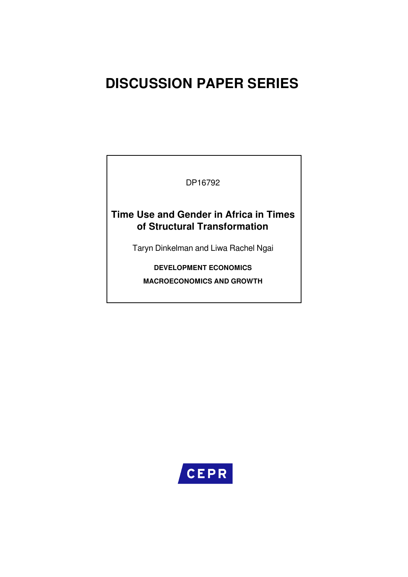# **DISCUSSION PAPER SERIES**

DP16792

## **Time Use and Gender in Africa in Times of Structural Transformation**

Taryn Dinkelman and Liwa Rachel Ngai

**DEVELOPMENT ECONOMICS MACROECONOMICS AND GROWTH**

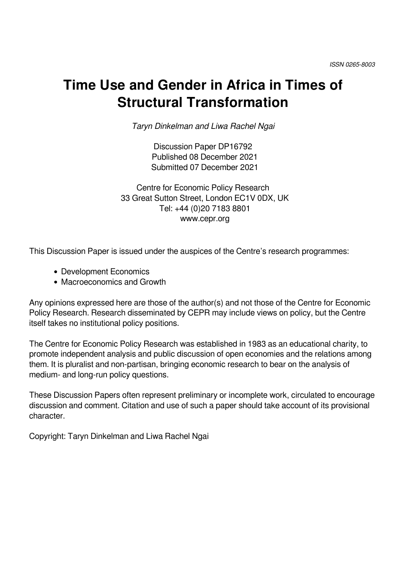# **Time Use and Gender in Africa in Times of Structural Transformation**

*Taryn Dinkelman and Liwa Rachel Ngai*

Discussion Paper DP16792 Published 08 December 2021 Submitted 07 December 2021

Centre for Economic Policy Research 33 Great Sutton Street, London EC1V 0DX, UK Tel: +44 (0)20 7183 8801 www.cepr.org

This Discussion Paper is issued under the auspices of the Centre's research programmes:

- Development Economics
- Macroeconomics and Growth

Any opinions expressed here are those of the author(s) and not those of the Centre for Economic Policy Research. Research disseminated by CEPR may include views on policy, but the Centre itself takes no institutional policy positions.

The Centre for Economic Policy Research was established in 1983 as an educational charity, to promote independent analysis and public discussion of open economies and the relations among them. It is pluralist and non-partisan, bringing economic research to bear on the analysis of medium- and long-run policy questions.

These Discussion Papers often represent preliminary or incomplete work, circulated to encourage discussion and comment. Citation and use of such a paper should take account of its provisional character.

Copyright: Taryn Dinkelman and Liwa Rachel Ngai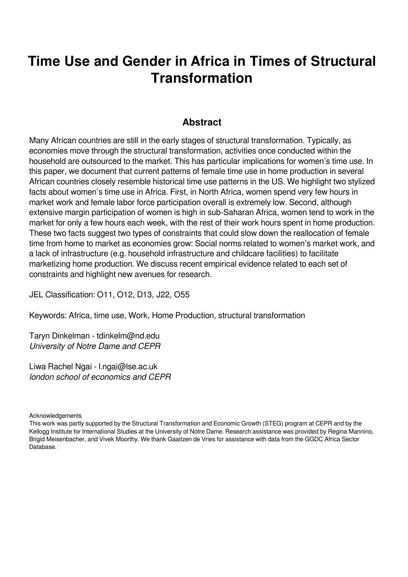# **Time Use and Gender in Africa in Times of Structural Transformation**

## **Abstract**

Many African countries are still in the early stages of structural transformation. Typically, as economies move through the structural transformation, activities once conducted within the household are outsourced to the market. This has particular implications for women's time use. In this paper, we document that current patterns of female time use in home production in several African countries closely resemble historical time use patterns in the US. We highlight two stylized facts about women's time use in Africa. First, in North Africa, women spend very few hours in market work and female labor force participation overall is extremely low. Second, although extensive margin participation of women is high in sub-Saharan Africa, women tend to work in the market for only a few hours each week, with the rest of their work hours spent in home production. These two facts suggest two types of constraints that could slow down the reallocation of female time from home to market as economies grow: Social norms related to women's market work, and a lack of infrastructure (e.g. household infrastructure and childcare facilities) to facilitate marketizing home production. We discuss recent empirical evidence related to each set of constraints and highlight new avenues for research.

JEL Classification: O11, O12, D13, J22, O55

Keywords: Africa, time use, Work, Home Production, structural transformation

Taryn Dinkelman - tdinkelm@nd.edu *University of Notre Dame and CEPR*

Liwa Rachel Ngai - l.ngai@lse.ac.uk *london school of economics and CEPR*

Acknowledgements

This work was partly supported by the Structural Transformation and Economic Growth (STEG) program at CEPR and by the Kellogg Institute for International Studies at the University of Notre Dame. Research assistance was provided by Regina Mannino, Brigid Meisenbacher, and Vivek Moorthy. We thank Gaaitzen de Vries for assistance with data from the GGDC Africa Sector Database.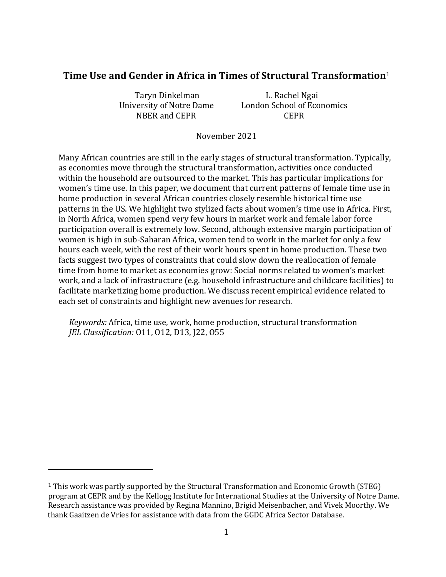#### **Time Use and Gender in Africa in Times of Structural Transformation**<sup>1</sup>

Taryn Dinkelman L. Rachel Ngai NBER and CEPR CEPR

University of Notre Dame London School of Economics

November 2021

Many African countries are still in the early stages of structural transformation. Typically, as economies move through the structural transformation, activities once conducted within the household are outsourced to the market. This has particular implications for women's time use. In this paper, we document that current patterns of female time use in home production in several African countries closely resemble historical time use patterns in the US. We highlight two stylized facts about women's time use in Africa. First, in North Africa, women spend very few hours in market work and female labor force participation overall is extremely low. Second, although extensive margin participation of women is high in sub-Saharan Africa, women tend to work in the market for only a few hours each week, with the rest of their work hours spent in home production. These two facts suggest two types of constraints that could slow down the reallocation of female time from home to market as economies grow: Social norms related to women's market work, and a lack of infrastructure (e.g. household infrastructure and childcare facilities) to facilitate marketizing home production. We discuss recent empirical evidence related to each set of constraints and highlight new avenues for research.

*Keywords:* Africa, time use, work, home production, structural transformation *JEL Classification:* O11, O12, D13, J22, O55

 $\overline{a}$ 

<sup>1</sup> This work was partly supported by the Structural Transformation and Economic Growth (STEG) program at CEPR and by the Kellogg Institute for International Studies at the University of Notre Dame. Research assistance was provided by Regina Mannino, Brigid Meisenbacher, and Vivek Moorthy. We thank Gaaitzen de Vries for assistance with data from the GGDC Africa Sector Database.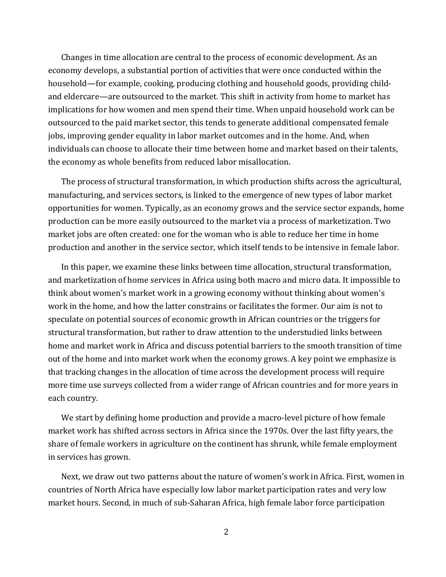Changes in time allocation are central to the process of economic development. As an economy develops, a substantial portion of activities that were once conducted within the household—for example, cooking, producing clothing and household goods, providing childand eldercare—are outsourced to the market. This shift in activity from home to market has implications for how women and men spend their time. When unpaid household work can be outsourced to the paid market sector, this tends to generate additional compensated female jobs, improving gender equality in labor market outcomes and in the home. And, when individuals can choose to allocate their time between home and market based on their talents, the economy as whole benefits from reduced labor misallocation.

The process of structural transformation, in which production shifts across the agricultural, manufacturing, and services sectors, is linked to the emergence of new types of labor market opportunities for women. Typically, as an economy grows and the service sector expands, home production can be more easily outsourced to the market via a process of marketization. Two market jobs are often created: one for the woman who is able to reduce her time in home production and another in the service sector, which itself tends to be intensive in female labor.

In this paper, we examine these links between time allocation, structural transformation, and marketization of home services in Africa using both macro and micro data. It impossible to think about women's market work in a growing economy without thinking about women's work in the home, and how the latter constrains or facilitates the former. Our aim is not to speculate on potential sources of economic growth in African countries or the triggers for structural transformation, but rather to draw attention to the understudied links between home and market work in Africa and discuss potential barriers to the smooth transition of time out of the home and into market work when the economy grows. A key point we emphasize is that tracking changes in the allocation of time across the development process will require more time use surveys collected from a wider range of African countries and for more years in each country.

We start by defining home production and provide a macro-level picture of how female market work has shifted across sectors in Africa since the 1970s. Over the last fifty years, the share of female workers in agriculture on the continent has shrunk, while female employment in services has grown.

Next, we draw out two patterns about the nature of women's work in Africa. First, women in countries of North Africa have especially low labor market participation rates and very low market hours. Second, in much of sub-Saharan Africa, high female labor force participation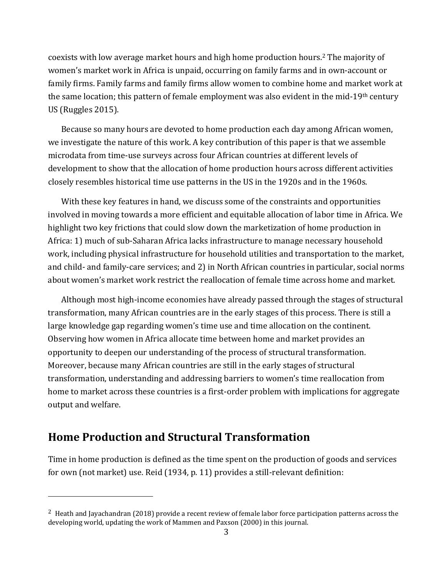coexists with low average market hours and high home production hours.2 The majority of women's market work in Africa is unpaid, occurring on family farms and in own-account or family firms. Family farms and family firms allow women to combine home and market work at the same location; this pattern of female employment was also evident in the mid-19th century US (Ruggles 2015).

Because so many hours are devoted to home production each day among African women, we investigate the nature of this work. A key contribution of this paper is that we assemble microdata from time-use surveys across four African countries at different levels of development to show that the allocation of home production hours across different activities closely resembles historical time use patterns in the US in the 1920s and in the 1960s.

With these key features in hand, we discuss some of the constraints and opportunities involved in moving towards a more efficient and equitable allocation of labor time in Africa. We highlight two key frictions that could slow down the marketization of home production in Africa: 1) much of sub-Saharan Africa lacks infrastructure to manage necessary household work, including physical infrastructure for household utilities and transportation to the market, and child- and family-care services; and 2) in North African countries in particular, social norms about women's market work restrict the reallocation of female time across home and market.

Although most high-income economies have already passed through the stages of structural transformation, many African countries are in the early stages of this process. There is still a large knowledge gap regarding women's time use and time allocation on the continent. Observing how women in Africa allocate time between home and market provides an opportunity to deepen our understanding of the process of structural transformation. Moreover, because many African countries are still in the early stages of structural transformation, understanding and addressing barriers to women's time reallocation from home to market across these countries is a first-order problem with implications for aggregate output and welfare.

## **Home Production and Structural Transformation**

l

Time in home production is defined as the time spent on the production of goods and services for own (not market) use. Reid (1934, p. 11) provides a still-relevant definition:

<sup>&</sup>lt;sup>2</sup> Heath and Jayachandran (2018) provide a recent review of female labor force participation patterns across the developing world, updating the work of Mammen and Paxson (2000) in this journal.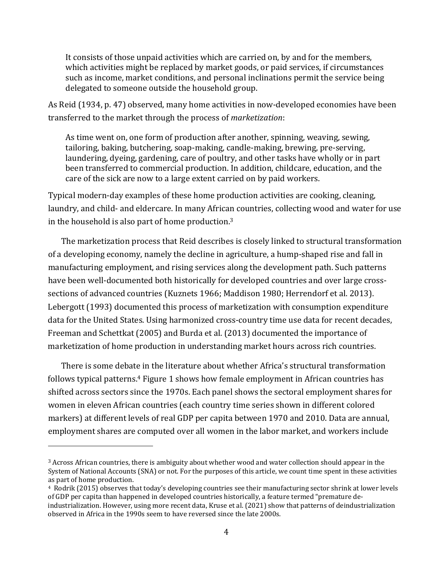It consists of those unpaid activities which are carried on, by and for the members, which activities might be replaced by market goods, or paid services, if circumstances such as income, market conditions, and personal inclinations permit the service being delegated to someone outside the household group.

As Reid (1934, p. 47) observed, many home activities in now-developed economies have been transferred to the market through the process of *marketization*:

As time went on, one form of production after another, spinning, weaving, sewing, tailoring, baking, butchering, soap-making, candle-making, brewing, pre-serving, laundering, dyeing, gardening, care of poultry, and other tasks have wholly or in part been transferred to commercial production. In addition, childcare, education, and the care of the sick are now to a large extent carried on by paid workers.

Typical modern-day examples of these home production activities are cooking, cleaning, laundry, and child- and eldercare. In many African countries, collecting wood and water for use in the household is also part of home production.3

The marketization process that Reid describes is closely linked to structural transformation of a developing economy, namely the decline in agriculture, a hump-shaped rise and fall in manufacturing employment, and rising services along the development path. Such patterns have been well-documented both historically for developed countries and over large crosssections of advanced countries (Kuznets 1966; Maddison 1980; Herrendorf et al. 2013). Lebergott (1993) documented this process of marketization with consumption expenditure data for the United States. Using harmonized cross-country time use data for recent decades, Freeman and Schettkat (2005) and Burda et al. (2013) documented the importance of marketization of home production in understanding market hours across rich countries.

There is some debate in the literature about whether Africa's structural transformation follows typical patterns.4 Figure 1 shows how female employment in African countries has shifted across sectors since the 1970s. Each panel shows the sectoral employment shares for women in eleven African countries (each country time series shown in different colored markers) at different levels of real GDP per capita between 1970 and 2010. Data are annual, employment shares are computed over all women in the labor market, and workers include

 $\overline{a}$ 

<sup>3</sup> Across African countries, there is ambiguity about whether wood and water collection should appear in the System of National Accounts (SNA) or not. For the purposes of this article, we count time spent in these activities as part of home production.

<sup>4</sup> Rodrik (2015) observes that today's developing countries see their manufacturing sector shrink at lower levels of GDP per capita than happened in developed countries historically, a feature termed "premature deindustrialization. However, using more recent data, Kruse et al. (2021) show that patterns of deindustrialization observed in Africa in the 1990s seem to have reversed since the late 2000s.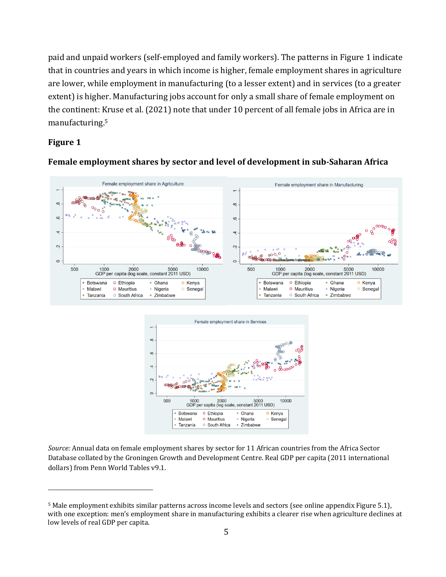paid and unpaid workers (self-employed and family workers). The patterns in Figure 1 indicate that in countries and years in which income is higher, female employment shares in agriculture are lower, while employment in manufacturing (to a lesser extent) and in services (to a greater extent) is higher. Manufacturing jobs account for only a small share of female employment on the continent: Kruse et al. (2021) note that under 10 percent of all female jobs in Africa are in manufacturing.5

#### **Figure 1**

l



#### **Female employment shares by sector and level of development in sub‐Saharan Africa**



*Source:* Annual data on female employment shares by sector for 11 African countries from the Africa Sector Database collated by the Groningen Growth and Development Centre. Real GDP per capita (2011 international dollars) from Penn World Tables v9.1.

<sup>5</sup> Male employment exhibits similar patterns across income levels and sectors (see online appendix Figure 5.1), with one exception: men's employment share in manufacturing exhibits a clearer rise when agriculture declines at low levels of real GDP per capita.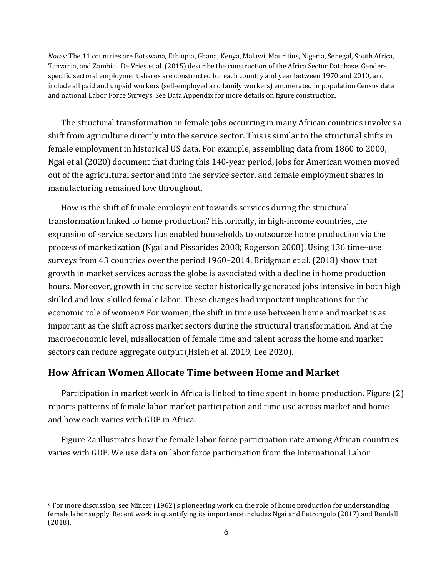*Notes:* The 11 countries are Botswana, Ethiopia, Ghana, Kenya, Malawi, Mauritius, Nigeria, Senegal, South Africa, Tanzania, and Zambia. De Vries et al. (2015) describe the construction of the Africa Sector Database. Genderspecific sectoral employment shares are constructed for each country and year between 1970 and 2010, and include all paid and unpaid workers (self-employed and family workers) enumerated in population Census data and national Labor Force Surveys. See Data Appendix for more details on figure construction.

The structural transformation in female jobs occurring in many African countries involves a shift from agriculture directly into the service sector. This is similar to the structural shifts in female employment in historical US data. For example, assembling data from 1860 to 2000, Ngai et al (2020) document that during this 140-year period, jobs for American women moved out of the agricultural sector and into the service sector, and female employment shares in manufacturing remained low throughout.

How is the shift of female employment towards services during the structural transformation linked to home production? Historically, in high-income countries, the expansion of service sectors has enabled households to outsource home production via the process of marketization (Ngai and Pissarides 2008; Rogerson 2008). Using 136 time–use surveys from 43 countries over the period 1960–2014, Bridgman et al. (2018) show that growth in market services across the globe is associated with a decline in home production hours. Moreover, growth in the service sector historically generated jobs intensive in both highskilled and low-skilled female labor. These changes had important implications for the economic role of women.<sup>6</sup> For women, the shift in time use between home and market is as important as the shift across market sectors during the structural transformation. And at the macroeconomic level, misallocation of female time and talent across the home and market sectors can reduce aggregate output (Hsieh et al. 2019, Lee 2020).

#### **How African Women Allocate Time between Home and Market**

l

Participation in market work in Africa is linked to time spent in home production. Figure (2) reports patterns of female labor market participation and time use across market and home and how each varies with GDP in Africa.

Figure 2a illustrates how the female labor force participation rate among African countries varies with GDP. We use data on labor force participation from the International Labor

<sup>6</sup> For more discussion, see Mincer (1962)'s pioneering work on the role of home production for understanding female labor supply. Recent work in quantifying its importance includes Ngai and Petrongolo (2017) and Rendall (2018).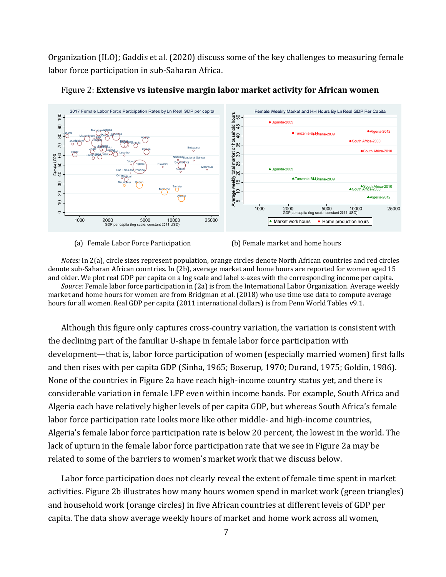Organization (ILO); Gaddis et al. (2020) discuss some of the key challenges to measuring female labor force participation in sub-Saharan Africa.





*Notes:* In 2(a), circle sizes represent population, orange circles denote North African countries and red circles denote sub-Saharan African countries. In (2b), average market and home hours are reported for women aged 15 and older. We plot real GDP per capita on a log scale and label x-axes with the corresponding income per capita. *Source:* Female labor force participation in (2a) is from the International Labor Organization. Average weekly market and home hours for women are from Bridgman et al. (2018) who use time use data to compute average hours for all women. Real GDP per capita (2011 international dollars) is from Penn World Tables v9.1.

Although this figure only captures cross-country variation, the variation is consistent with the declining part of the familiar U-shape in female labor force participation with development—that is, labor force participation of women (especially married women) first falls and then rises with per capita GDP (Sinha, 1965; Boserup, 1970; Durand, 1975; Goldin, 1986). None of the countries in Figure 2a have reach high-income country status yet, and there is considerable variation in female LFP even within income bands. For example, South Africa and Algeria each have relatively higher levels of per capita GDP, but whereas South Africa's female labor force participation rate looks more like other middle- and high-income countries, Algeria's female labor force participation rate is below 20 percent, the lowest in the world. The lack of upturn in the female labor force participation rate that we see in Figure 2a may be related to some of the barriers to women's market work that we discuss below.

Labor force participation does not clearly reveal the extent of female time spent in market activities. Figure 2b illustrates how many hours women spend in market work (green triangles) and household work (orange circles) in five African countries at different levels of GDP per capita. The data show average weekly hours of market and home work across all women,

<sup>(</sup>a) Female Labor Force Participation (b) Female market and home hours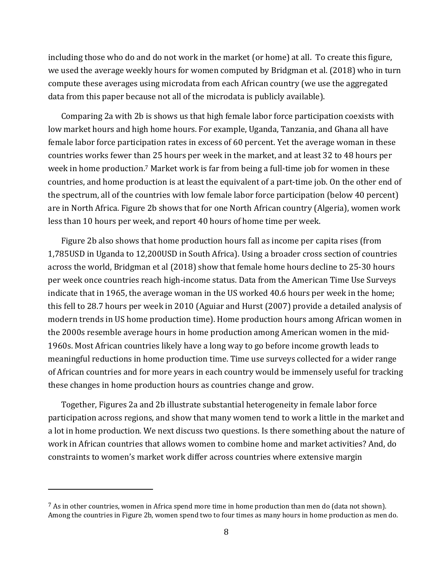including those who do and do not work in the market (or home) at all. To create this figure, we used the average weekly hours for women computed by Bridgman et al. (2018) who in turn compute these averages using microdata from each African country (we use the aggregated data from this paper because not all of the microdata is publicly available).

Comparing 2a with 2b is shows us that high female labor force participation coexists with low market hours and high home hours. For example, Uganda, Tanzania, and Ghana all have female labor force participation rates in excess of 60 percent. Yet the average woman in these countries works fewer than 25 hours per week in the market, and at least 32 to 48 hours per week in home production.<sup>7</sup> Market work is far from being a full-time job for women in these countries, and home production is at least the equivalent of a part-time job. On the other end of the spectrum, all of the countries with low female labor force participation (below 40 percent) are in North Africa. Figure 2b shows that for one North African country (Algeria), women work less than 10 hours per week, and report 40 hours of home time per week.

Figure 2b also shows that home production hours fall as income per capita rises (from 1,785USD in Uganda to 12,200USD in South Africa). Using a broader cross section of countries across the world, Bridgman et al (2018) show that female home hours decline to 25-30 hours per week once countries reach high-income status. Data from the American Time Use Surveys indicate that in 1965, the average woman in the US worked 40.6 hours per week in the home; this fell to 28.7 hours per week in 2010 (Aguiar and Hurst (2007) provide a detailed analysis of modern trends in US home production time). Home production hours among African women in the 2000s resemble average hours in home production among American women in the mid-1960s. Most African countries likely have a long way to go before income growth leads to meaningful reductions in home production time. Time use surveys collected for a wider range of African countries and for more years in each country would be immensely useful for tracking these changes in home production hours as countries change and grow.

Together, Figures 2a and 2b illustrate substantial heterogeneity in female labor force participation across regions, and show that many women tend to work a little in the market and a lot in home production. We next discuss two questions. Is there something about the nature of work in African countries that allows women to combine home and market activities? And, do constraints to women's market work differ across countries where extensive margin

 $\overline{a}$ 

 $^7$  As in other countries, women in Africa spend more time in home production than men do (data not shown). Among the countries in Figure 2b, women spend two to four times as many hours in home production as men do.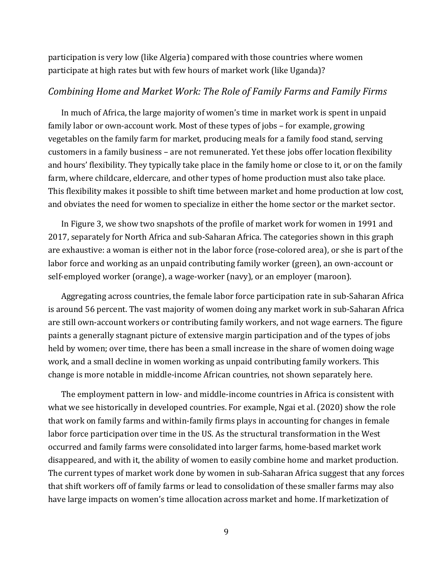participation is very low (like Algeria) compared with those countries where women participate at high rates but with few hours of market work (like Uganda)?

#### *Combining Home and Market Work: The Role of Family Farms and Family Firms*

In much of Africa, the large majority of women's time in market work is spent in unpaid family labor or own-account work. Most of these types of jobs – for example, growing vegetables on the family farm for market, producing meals for a family food stand, serving customers in a family business – are not remunerated. Yet these jobs offer location flexibility and hours' flexibility. They typically take place in the family home or close to it, or on the family farm, where childcare, eldercare, and other types of home production must also take place. This flexibility makes it possible to shift time between market and home production at low cost, and obviates the need for women to specialize in either the home sector or the market sector.

In Figure 3, we show two snapshots of the profile of market work for women in 1991 and 2017, separately for North Africa and sub-Saharan Africa. The categories shown in this graph are exhaustive: a woman is either not in the labor force (rose-colored area), or she is part of the labor force and working as an unpaid contributing family worker (green), an own-account or self-employed worker (orange), a wage-worker (navy), or an employer (maroon).

Aggregating across countries, the female labor force participation rate in sub-Saharan Africa is around 56 percent. The vast majority of women doing any market work in sub-Saharan Africa are still own-account workers or contributing family workers, and not wage earners. The figure paints a generally stagnant picture of extensive margin participation and of the types of jobs held by women; over time, there has been a small increase in the share of women doing wage work, and a small decline in women working as unpaid contributing family workers. This change is more notable in middle-income African countries, not shown separately here.

The employment pattern in low- and middle-income countries in Africa is consistent with what we see historically in developed countries. For example, Ngai et al. (2020) show the role that work on family farms and within-family firms plays in accounting for changes in female labor force participation over time in the US. As the structural transformation in the West occurred and family farms were consolidated into larger farms, home-based market work disappeared, and with it, the ability of women to easily combine home and market production. The current types of market work done by women in sub-Saharan Africa suggest that any forces that shift workers off of family farms or lead to consolidation of these smaller farms may also have large impacts on women's time allocation across market and home. If marketization of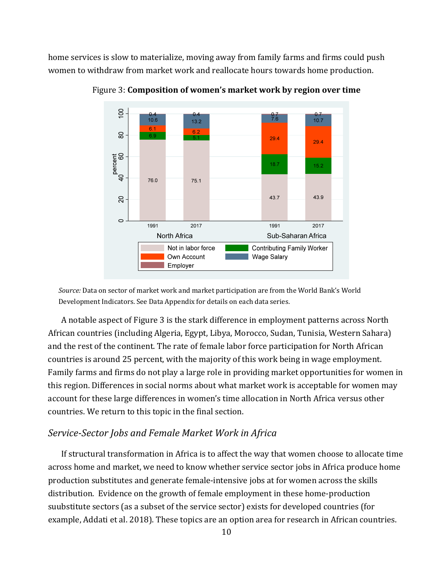home services is slow to materialize, moving away from family farms and firms could push women to withdraw from market work and reallocate hours towards home production.



Figure 3: **Composition of women's market work by region over time**

*Source:* Data on sector of market work and market participation are from the World Bank's World Development Indicators. See Data Appendix for details on each data series.

A notable aspect of Figure 3 is the stark difference in employment patterns across North African countries (including Algeria, Egypt, Libya, Morocco, Sudan, Tunisia, Western Sahara) and the rest of the continent. The rate of female labor force participation for North African countries is around 25 percent, with the majority of this work being in wage employment. Family farms and firms do not play a large role in providing market opportunities for women in this region. Differences in social norms about what market work is acceptable for women may account for these large differences in women's time allocation in North Africa versus other countries. We return to this topic in the final section.

#### *Service‐Sector Jobs and Female Market Work in Africa*

If structural transformation in Africa is to affect the way that women choose to allocate time across home and market, we need to know whether service sector jobs in Africa produce home production substitutes and generate female-intensive jobs at for women across the skills distribution. Evidence on the growth of female employment in these home-production suubstitute sectors (as a subset of the service sector) exists for developed countries (for example, Addati et al. 2018). These topics are an option area for research in African countries.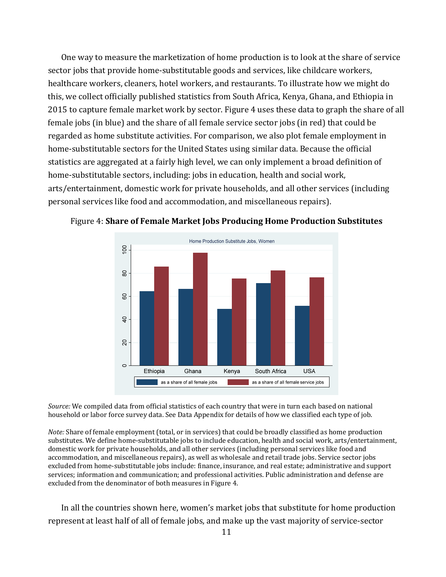One way to measure the marketization of home production is to look at the share of service sector jobs that provide home-substitutable goods and services, like childcare workers, healthcare workers, cleaners, hotel workers, and restaurants. To illustrate how we might do this, we collect officially published statistics from South Africa, Kenya, Ghana, and Ethiopia in 2015 to capture female market work by sector. Figure 4 uses these data to graph the share of all female jobs (in blue) and the share of all female service sector jobs (in red) that could be regarded as home substitute activities. For comparison, we also plot female employment in home-substitutable sectors for the United States using similar data. Because the official statistics are aggregated at a fairly high level, we can only implement a broad definition of home-substitutable sectors, including: jobs in education, health and social work, arts/entertainment, domestic work for private households, and all other services (including personal services like food and accommodation, and miscellaneous repairs).



Figure 4: **Share of Female Market Jobs Producing Home Production Substitutes**

*Source:* We compiled data from official statistics of each country that were in turn each based on national household or labor force survey data. See Data Appendix for details of how we classified each type of job.

*Note:* Share of female employment (total, or in services) that could be broadly classified as home production substitutes. We define home-substitutable jobs to include education, health and social work, arts/entertainment, domestic work for private households, and all other services (including personal services like food and accommodation, and miscellaneous repairs), as well as wholesale and retail trade jobs. Service sector jobs excluded from home-substitutable jobs include: finance, insurance, and real estate; administrative and support services; information and communication; and professional activities. Public administration and defense are excluded from the denominator of both measures in Figure 4.

In all the countries shown here, women's market jobs that substitute for home production represent at least half of all of female jobs, and make up the vast majority of service-sector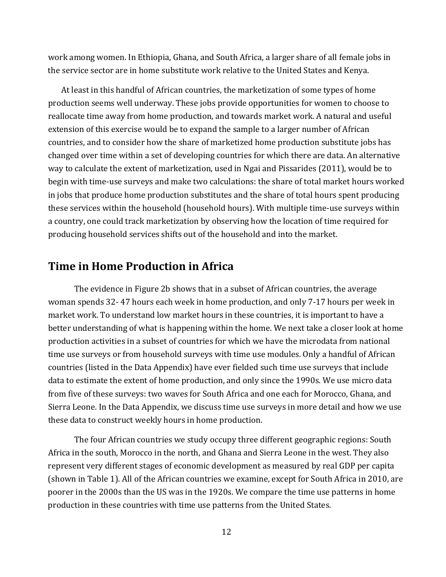work among women. In Ethiopia, Ghana, and South Africa, a larger share of all female jobs in the service sector are in home substitute work relative to the United States and Kenya.

At least in this handful of African countries, the marketization of some types of home production seems well underway. These jobs provide opportunities for women to choose to reallocate time away from home production, and towards market work. A natural and useful extension of this exercise would be to expand the sample to a larger number of African countries, and to consider how the share of marketized home production substitute jobs has changed over time within a set of developing countries for which there are data. An alternative way to calculate the extent of marketization, used in Ngai and Pissarides (2011), would be to begin with time-use surveys and make two calculations: the share of total market hours worked in jobs that produce home production substitutes and the share of total hours spent producing these services within the household (household hours). With multiple time-use surveys within a country, one could track marketization by observing how the location of time required for producing household services shifts out of the household and into the market.

#### **Time in Home Production in Africa**

The evidence in Figure 2b shows that in a subset of African countries, the average woman spends 32- 47 hours each week in home production, and only 7-17 hours per week in market work. To understand low market hours in these countries, it is important to have a better understanding of what is happening within the home. We next take a closer look at home production activities in a subset of countries for which we have the microdata from national time use surveys or from household surveys with time use modules. Only a handful of African countries (listed in the Data Appendix) have ever fielded such time use surveys that include data to estimate the extent of home production, and only since the 1990s. We use micro data from five of these surveys: two waves for South Africa and one each for Morocco, Ghana, and Sierra Leone. In the Data Appendix, we discuss time use surveys in more detail and how we use these data to construct weekly hours in home production.

The four African countries we study occupy three different geographic regions: South Africa in the south, Morocco in the north, and Ghana and Sierra Leone in the west. They also represent very different stages of economic development as measured by real GDP per capita (shown in Table 1). All of the African countries we examine, except for South Africa in 2010, are poorer in the 2000s than the US was in the 1920s. We compare the time use patterns in home production in these countries with time use patterns from the United States.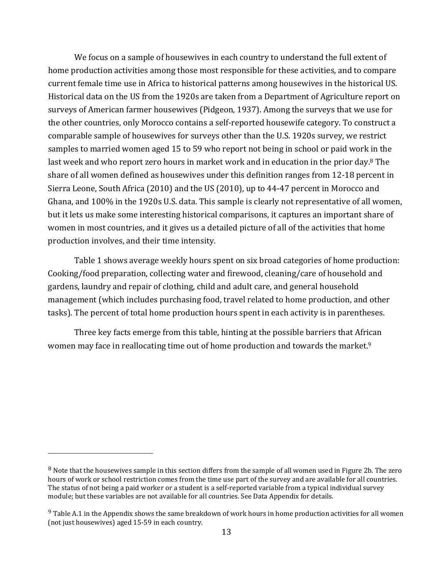We focus on a sample of housewives in each country to understand the full extent of home production activities among those most responsible for these activities, and to compare current female time use in Africa to historical patterns among housewives in the historical US. Historical data on the US from the 1920s are taken from a Department of Agriculture report on surveys of American farmer housewives (Pidgeon, 1937). Among the surveys that we use for the other countries, only Morocco contains a self-reported housewife category. To construct a comparable sample of housewives for surveys other than the U.S. 1920s survey, we restrict samples to married women aged 15 to 59 who report not being in school or paid work in the last week and who report zero hours in market work and in education in the prior day.8 The share of all women defined as housewives under this definition ranges from 12-18 percent in Sierra Leone, South Africa (2010) and the US (2010), up to 44-47 percent in Morocco and Ghana, and 100% in the 1920s U.S. data. This sample is clearly not representative of all women, but it lets us make some interesting historical comparisons, it captures an important share of women in most countries, and it gives us a detailed picture of all of the activities that home production involves, and their time intensity.

Table 1 shows average weekly hours spent on six broad categories of home production: Cooking/food preparation, collecting water and firewood, cleaning/care of household and gardens, laundry and repair of clothing, child and adult care, and general household management (which includes purchasing food, travel related to home production, and other tasks). The percent of total home production hours spent in each activity is in parentheses.

Three key facts emerge from this table, hinting at the possible barriers that African women may face in reallocating time out of home production and towards the market.9

l

<sup>8</sup> Note that the housewives sample in this section differs from the sample of all women used in Figure 2b. The zero hours of work or school restriction comes from the time use part of the survey and are available for all countries. The status of not being a paid worker or a student is a self-reported variable from a typical individual survey module; but these variables are not available for all countries. See Data Appendix for details.

<sup>&</sup>lt;sup>9</sup> Table A.1 in the Appendix shows the same breakdown of work hours in home production activities for all women (not just housewives) aged 15-59 in each country.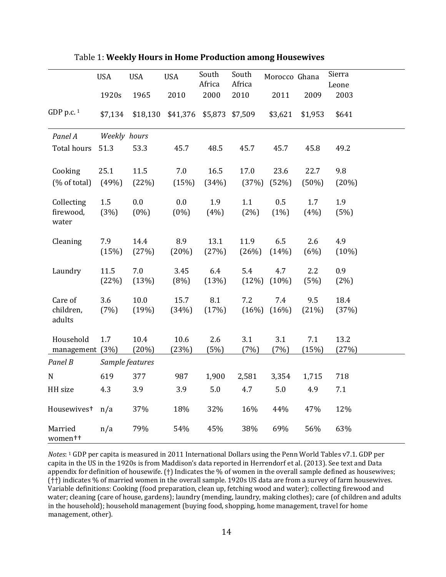|                                | <b>USA</b>    | <b>USA</b>      | <b>USA</b>    | South         | South           | Morocco Ghana   |              | Sierra          |  |
|--------------------------------|---------------|-----------------|---------------|---------------|-----------------|-----------------|--------------|-----------------|--|
|                                |               |                 |               | Africa        | Africa          |                 |              | Leone           |  |
|                                | 1920s         | 1965            | 2010          | 2000          | 2010            | 2011            | 2009         | 2003            |  |
| GDP p.c. $1$                   | \$7,134       | \$18,130        | \$41,376      |               | \$5,873 \$7,509 | \$3,621         | \$1,953      | \$641           |  |
| Panel A                        | Weekly hours  |                 |               |               |                 |                 |              |                 |  |
| Total hours                    | 51.3          | 53.3            | 45.7          | 48.5          | 45.7            | 45.7            | 45.8         | 49.2            |  |
| Cooking                        | 25.1          | 11.5            | 7.0           | 16.5          | 17.0            | 23.6            | 22.7         | 9.8             |  |
| (% of total)                   | (49%)         | (22%)           | (15%)         | (34%)         | (37%)           | (52%)           | (50%)        | (20%)           |  |
| Collecting                     | $1.5\,$       | 0.0             | 0.0           | 1.9           | 1.1             | 0.5             | 1.7          | 1.9             |  |
| firewood,<br>water             | (3%)          | $(0\%)$         | $(0\%)$       | (4%)          | (2%)            | (1%)            | (4%)         | (5%)            |  |
| Cleaning                       | 7.9<br>(15%)  | 14.4<br>(27%)   | 8.9<br>(20%)  | 13.1<br>(27%) | 11.9<br>(26%)   | 6.5<br>(14%)    | 2.6<br>(6%)  | 4.9<br>$(10\%)$ |  |
| Laundry                        | 11.5<br>(22%) | 7.0<br>(13%)    | 3.45<br>(8%)  | 6.4<br>(13%)  | 5.4<br>(12%)    | 4.7<br>$(10\%)$ | 2.2<br>(5%)  | 0.9<br>(2%)     |  |
| Care of<br>children,<br>adults | 3.6<br>(7%)   | 10.0<br>(19%)   | 15.7<br>(34%) | 8.1<br>(17%)  | 7.2<br>(16%)    | 7.4<br>(16%)    | 9.5<br>(21%) | 18.4<br>(37%)   |  |
| Household<br>management (3%)   | 1.7           | 10.4<br>(20%)   | 10.6<br>(23%) | 2.6<br>(5%)   | 3.1<br>(7%)     | 3.1<br>(7%)     | 7.1<br>(15%) | 13.2<br>(27%)   |  |
| Panel B                        |               | Sample features |               |               |                 |                 |              |                 |  |
| N                              | 619           | 377             | 987           | 1,900         | 2,581           | 3,354           | 1,715        | 718             |  |
| HH size                        | 4.3           | 3.9             | 3.9           | 5.0           | 4.7             | 5.0             | 4.9          | 7.1             |  |
| Housewives <sup>+</sup>        | n/a           | 37%             | 18%           | 32%           | 16%             | 44%             | 47%          | 12%             |  |
| Married<br>women++             | n/a           | 79%             | 54%           | 45%           | 38%             | 69%             | 56%          | 63%             |  |

Table 1: **Weekly Hours in Home Production among Housewives**

*Notes*: 1 GDP per capita is measured in 2011 International Dollars using the Penn World Tables v7.1. GDP per capita in the US in the 1920s is from Maddison's data reported in Herrendorf et al. (2013). See text and Data appendix for definition of housewife. (†) Indicates the % of women in the overall sample defined as housewives; (††) indicates % of married women in the overall sample. 1920s US data are from a survey of farm housewives. Variable definitions: Cooking (food preparation, clean up, fetching wood and water); collecting firewood and water; cleaning (care of house, gardens); laundry (mending, laundry, making clothes); care (of children and adults in the household); household management (buying food, shopping, home management, travel for home management, other).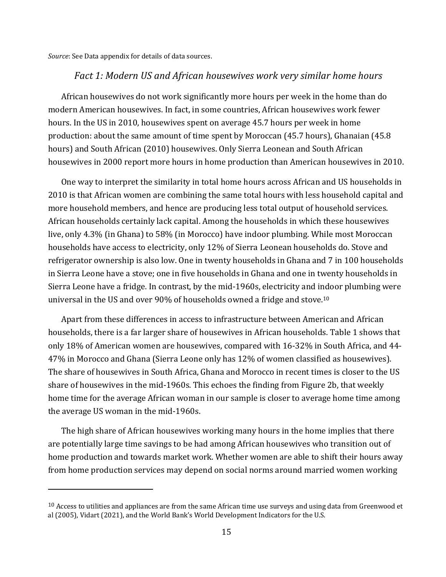*Source*: See Data appendix for details of data sources.

1

#### *Fact 1: Modern US and African housewives work very similar home hours*

African housewives do not work significantly more hours per week in the home than do modern American housewives. In fact, in some countries, African housewives work fewer hours. In the US in 2010, housewives spent on average 45.7 hours per week in home production: about the same amount of time spent by Moroccan (45.7 hours), Ghanaian (45.8 hours) and South African (2010) housewives. Only Sierra Leonean and South African housewives in 2000 report more hours in home production than American housewives in 2010.

One way to interpret the similarity in total home hours across African and US households in 2010 is that African women are combining the same total hours with less household capital and more household members, and hence are producing less total output of household services. African households certainly lack capital. Among the households in which these housewives live, only 4.3% (in Ghana) to 58% (in Morocco) have indoor plumbing. While most Moroccan households have access to electricity, only 12% of Sierra Leonean households do. Stove and refrigerator ownership is also low. One in twenty households in Ghana and 7 in 100 households in Sierra Leone have a stove; one in five households in Ghana and one in twenty households in Sierra Leone have a fridge. In contrast, by the mid-1960s, electricity and indoor plumbing were universal in the US and over 90% of households owned a fridge and stove.10

Apart from these differences in access to infrastructure between American and African households, there is a far larger share of housewives in African households. Table 1 shows that only 18% of American women are housewives, compared with 16-32% in South Africa, and 44- 47% in Morocco and Ghana (Sierra Leone only has 12% of women classified as housewives). The share of housewives in South Africa, Ghana and Morocco in recent times is closer to the US share of housewives in the mid-1960s. This echoes the finding from Figure 2b, that weekly home time for the average African woman in our sample is closer to average home time among the average US woman in the mid-1960s.

The high share of African housewives working many hours in the home implies that there are potentially large time savings to be had among African housewives who transition out of home production and towards market work. Whether women are able to shift their hours away from home production services may depend on social norms around married women working

 $10$  Access to utilities and appliances are from the same African time use surveys and using data from Greenwood et al (2005), Vidart (2021), and the World Bank's World Development Indicators for the U.S.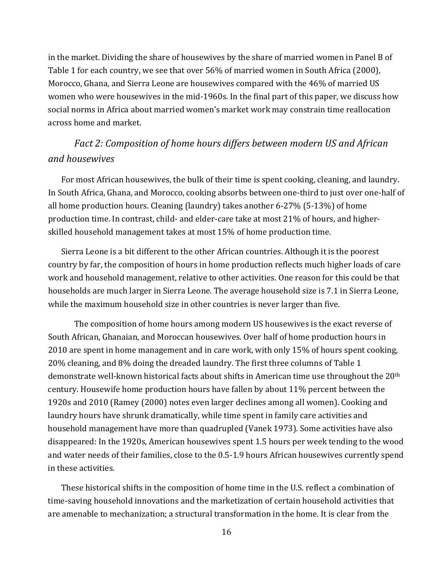in the market. Dividing the share of housewives by the share of married women in Panel B of Table 1 for each country, we see that over 56% of married women in South Africa (2000), Morocco, Ghana, and Sierra Leone are housewives compared with the 46% of married US women who were housewives in the mid-1960s. In the final part of this paper, we discuss how social norms in Africa about married women's market work may constrain time reallocation across home and market.

## *Fact 2: Composition of home hours differs between modern US and African and housewives*

For most African housewives, the bulk of their time is spent cooking, cleaning, and laundry. In South Africa, Ghana, and Morocco, cooking absorbs between one-third to just over one-half of all home production hours. Cleaning (laundry) takes another 6-27% (5-13%) of home production time. In contrast, child- and elder-care take at most 21% of hours, and higherskilled household management takes at most 15% of home production time.

Sierra Leone is a bit different to the other African countries. Although it is the poorest country by far, the composition of hours in home production reflects much higher loads of care work and household management, relative to other activities. One reason for this could be that households are much larger in Sierra Leone. The average household size is 7.1 in Sierra Leone, while the maximum household size in other countries is never larger than five.

The composition of home hours among modern US housewives is the exact reverse of South African, Ghanaian, and Moroccan housewives. Over half of home production hours in 2010 are spent in home management and in care work, with only 15% of hours spent cooking, 20% cleaning, and 8% doing the dreaded laundry. The first three columns of Table 1 demonstrate well-known historical facts about shifts in American time use throughout the 20th century. Housewife home production hours have fallen by about 11% percent between the 1920s and 2010 (Ramey (2000) notes even larger declines among all women). Cooking and laundry hours have shrunk dramatically, while time spent in family care activities and household management have more than quadrupled (Vanek 1973). Some activities have also disappeared: In the 1920s, American housewives spent 1.5 hours per week tending to the wood and water needs of their families, close to the 0.5-1.9 hours African housewives currently spend in these activities.

These historical shifts in the composition of home time in the U.S. reflect a combination of time-saving household innovations and the marketization of certain household activities that are amenable to mechanization; a structural transformation in the home. It is clear from the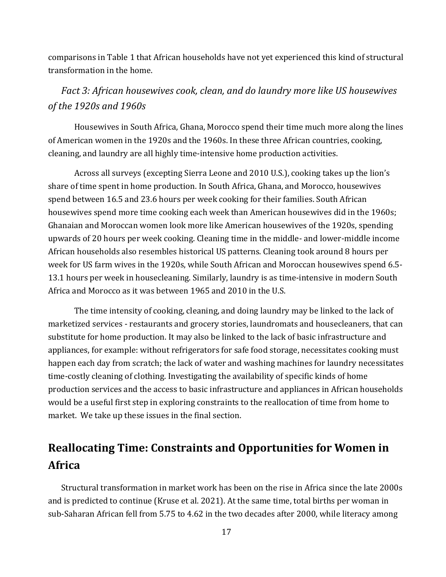comparisons in Table 1 that African households have not yet experienced this kind of structural transformation in the home.

## *Fact 3: African housewives cook, clean, and do laundry more like US housewives of the 1920s and 1960s*

Housewives in South Africa, Ghana, Morocco spend their time much more along the lines of American women in the 1920s and the 1960s. In these three African countries, cooking, cleaning, and laundry are all highly time-intensive home production activities.

Across all surveys (excepting Sierra Leone and 2010 U.S.), cooking takes up the lion's share of time spent in home production. In South Africa, Ghana, and Morocco, housewives spend between 16.5 and 23.6 hours per week cooking for their families. South African housewives spend more time cooking each week than American housewives did in the 1960s; Ghanaian and Moroccan women look more like American housewives of the 1920s, spending upwards of 20 hours per week cooking. Cleaning time in the middle- and lower-middle income African households also resembles historical US patterns. Cleaning took around 8 hours per week for US farm wives in the 1920s, while South African and Moroccan housewives spend 6.5- 13.1 hours per week in housecleaning. Similarly, laundry is as time-intensive in modern South Africa and Morocco as it was between 1965 and 2010 in the U.S.

The time intensity of cooking, cleaning, and doing laundry may be linked to the lack of marketized services - restaurants and grocery stories, laundromats and housecleaners, that can substitute for home production. It may also be linked to the lack of basic infrastructure and appliances, for example: without refrigerators for safe food storage, necessitates cooking must happen each day from scratch; the lack of water and washing machines for laundry necessitates time-costly cleaning of clothing. Investigating the availability of specific kinds of home production services and the access to basic infrastructure and appliances in African households would be a useful first step in exploring constraints to the reallocation of time from home to market. We take up these issues in the final section.

# **Reallocating Time: Constraints and Opportunities for Women in Africa**

Structural transformation in market work has been on the rise in Africa since the late 2000s and is predicted to continue (Kruse et al. 2021). At the same time, total births per woman in sub-Saharan African fell from 5.75 to 4.62 in the two decades after 2000, while literacy among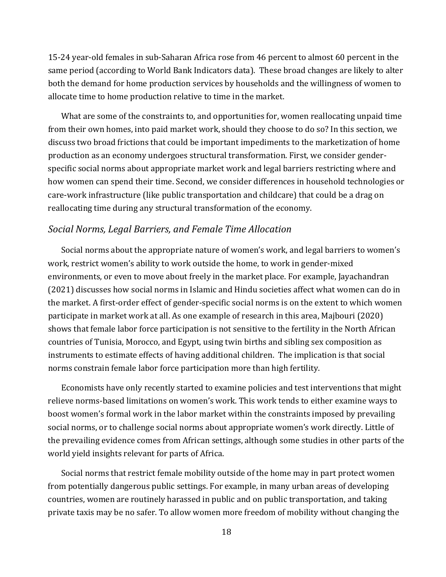15-24 year-old females in sub-Saharan Africa rose from 46 percent to almost 60 percent in the same period (according to World Bank Indicators data). These broad changes are likely to alter both the demand for home production services by households and the willingness of women to allocate time to home production relative to time in the market.

What are some of the constraints to, and opportunities for, women reallocating unpaid time from their own homes, into paid market work, should they choose to do so? In this section, we discuss two broad frictions that could be important impediments to the marketization of home production as an economy undergoes structural transformation. First, we consider genderspecific social norms about appropriate market work and legal barriers restricting where and how women can spend their time. Second, we consider differences in household technologies or care-work infrastructure (like public transportation and childcare) that could be a drag on reallocating time during any structural transformation of the economy.

#### *Social Norms, Legal Barriers, and Female Time Allocation*

Social norms about the appropriate nature of women's work, and legal barriers to women's work, restrict women's ability to work outside the home, to work in gender-mixed environments, or even to move about freely in the market place. For example, Jayachandran (2021) discusses how social norms in Islamic and Hindu societies affect what women can do in the market. A first-order effect of gender-specific social norms is on the extent to which women participate in market work at all. As one example of research in this area, Majbouri (2020) shows that female labor force participation is not sensitive to the fertility in the North African countries of Tunisia, Morocco, and Egypt, using twin births and sibling sex composition as instruments to estimate effects of having additional children. The implication is that social norms constrain female labor force participation more than high fertility.

Economists have only recently started to examine policies and test interventions that might relieve norms-based limitations on women's work. This work tends to either examine ways to boost women's formal work in the labor market within the constraints imposed by prevailing social norms, or to challenge social norms about appropriate women's work directly. Little of the prevailing evidence comes from African settings, although some studies in other parts of the world yield insights relevant for parts of Africa.

Social norms that restrict female mobility outside of the home may in part protect women from potentially dangerous public settings. For example, in many urban areas of developing countries, women are routinely harassed in public and on public transportation, and taking private taxis may be no safer. To allow women more freedom of mobility without changing the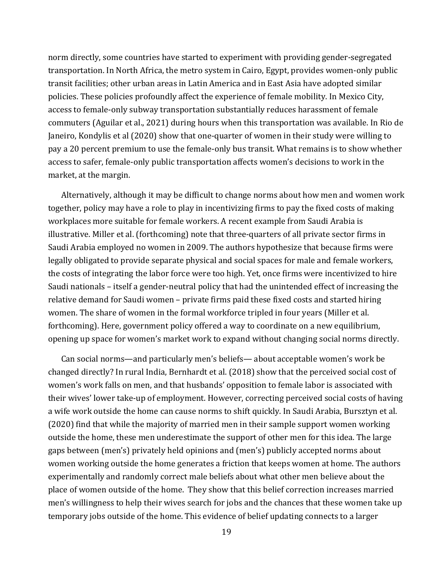norm directly, some countries have started to experiment with providing gender-segregated transportation. In North Africa, the metro system in Cairo, Egypt, provides women-only public transit facilities; other urban areas in Latin America and in East Asia have adopted similar policies. These policies profoundly affect the experience of female mobility. In Mexico City, access to female-only subway transportation substantially reduces harassment of female commuters (Aguilar et al., 2021) during hours when this transportation was available. In Rio de Janeiro, Kondylis et al (2020) show that one-quarter of women in their study were willing to pay a 20 percent premium to use the female-only bus transit. What remains is to show whether access to safer, female-only public transportation affects women's decisions to work in the market, at the margin.

Alternatively, although it may be difficult to change norms about how men and women work together, policy may have a role to play in incentivizing firms to pay the fixed costs of making workplaces more suitable for female workers. A recent example from Saudi Arabia is illustrative. Miller et al. (forthcoming) note that three-quarters of all private sector firms in Saudi Arabia employed no women in 2009. The authors hypothesize that because firms were legally obligated to provide separate physical and social spaces for male and female workers, the costs of integrating the labor force were too high. Yet, once firms were incentivized to hire Saudi nationals – itself a gender-neutral policy that had the unintended effect of increasing the relative demand for Saudi women – private firms paid these fixed costs and started hiring women. The share of women in the formal workforce tripled in four years (Miller et al. forthcoming). Here, government policy offered a way to coordinate on a new equilibrium, opening up space for women's market work to expand without changing social norms directly.

Can social norms—and particularly men's beliefs— about acceptable women's work be changed directly? In rural India, Bernhardt et al. (2018) show that the perceived social cost of women's work falls on men, and that husbands' opposition to female labor is associated with their wives' lower take-up of employment. However, correcting perceived social costs of having a wife work outside the home can cause norms to shift quickly. In Saudi Arabia, Bursztyn et al. (2020) find that while the majority of married men in their sample support women working outside the home, these men underestimate the support of other men for this idea. The large gaps between (men's) privately held opinions and (men's) publicly accepted norms about women working outside the home generates a friction that keeps women at home. The authors experimentally and randomly correct male beliefs about what other men believe about the place of women outside of the home. They show that this belief correction increases married men's willingness to help their wives search for jobs and the chances that these women take up temporary jobs outside of the home. This evidence of belief updating connects to a larger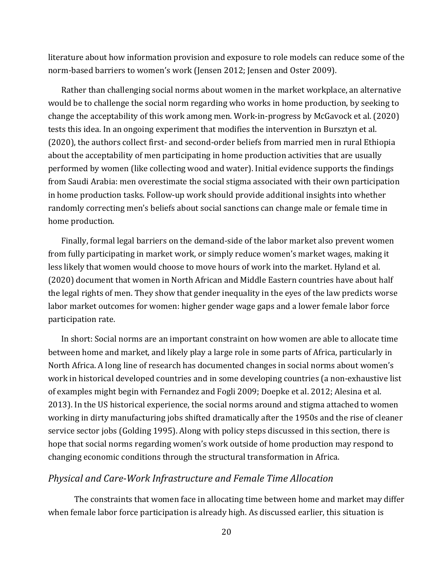literature about how information provision and exposure to role models can reduce some of the norm-based barriers to women's work (Jensen 2012; Jensen and Oster 2009).

Rather than challenging social norms about women in the market workplace, an alternative would be to challenge the social norm regarding who works in home production, by seeking to change the acceptability of this work among men. Work-in-progress by McGavock et al. (2020) tests this idea. In an ongoing experiment that modifies the intervention in Bursztyn et al. (2020), the authors collect first- and second-order beliefs from married men in rural Ethiopia about the acceptability of men participating in home production activities that are usually performed by women (like collecting wood and water). Initial evidence supports the findings from Saudi Arabia: men overestimate the social stigma associated with their own participation in home production tasks. Follow-up work should provide additional insights into whether randomly correcting men's beliefs about social sanctions can change male or female time in home production.

Finally, formal legal barriers on the demand-side of the labor market also prevent women from fully participating in market work, or simply reduce women's market wages, making it less likely that women would choose to move hours of work into the market. Hyland et al. (2020) document that women in North African and Middle Eastern countries have about half the legal rights of men. They show that gender inequality in the eyes of the law predicts worse labor market outcomes for women: higher gender wage gaps and a lower female labor force participation rate.

In short: Social norms are an important constraint on how women are able to allocate time between home and market, and likely play a large role in some parts of Africa, particularly in North Africa. A long line of research has documented changes in social norms about women's work in historical developed countries and in some developing countries (a non-exhaustive list of examples might begin with Fernandez and Fogli 2009; Doepke et al. 2012; Alesina et al. 2013). In the US historical experience, the social norms around and stigma attached to women working in dirty manufacturing jobs shifted dramatically after the 1950s and the rise of cleaner service sector jobs (Golding 1995). Along with policy steps discussed in this section, there is hope that social norms regarding women's work outside of home production may respond to changing economic conditions through the structural transformation in Africa.

#### *Physical and Care‐Work Infrastructure and Female Time Allocation*

The constraints that women face in allocating time between home and market may differ when female labor force participation is already high. As discussed earlier, this situation is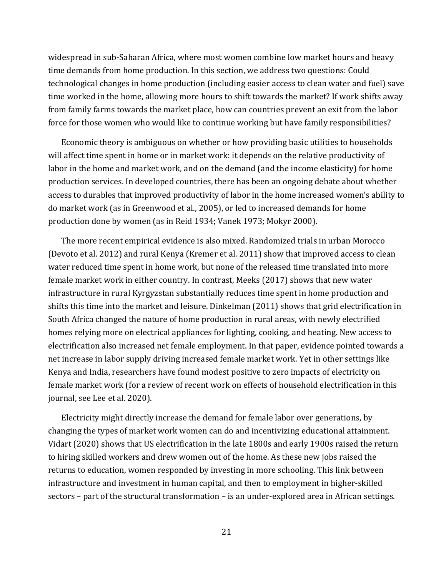widespread in sub-Saharan Africa, where most women combine low market hours and heavy time demands from home production. In this section, we address two questions: Could technological changes in home production (including easier access to clean water and fuel) save time worked in the home, allowing more hours to shift towards the market? If work shifts away from family farms towards the market place, how can countries prevent an exit from the labor force for those women who would like to continue working but have family responsibilities?

Economic theory is ambiguous on whether or how providing basic utilities to households will affect time spent in home or in market work: it depends on the relative productivity of labor in the home and market work, and on the demand (and the income elasticity) for home production services. In developed countries, there has been an ongoing debate about whether access to durables that improved productivity of labor in the home increased women's ability to do market work (as in Greenwood et al., 2005), or led to increased demands for home production done by women (as in Reid 1934; Vanek 1973; Mokyr 2000).

The more recent empirical evidence is also mixed. Randomized trials in urban Morocco (Devoto et al. 2012) and rural Kenya (Kremer et al. 2011) show that improved access to clean water reduced time spent in home work, but none of the released time translated into more female market work in either country. In contrast, Meeks (2017) shows that new water infrastructure in rural Kyrgyzstan substantially reduces time spent in home production and shifts this time into the market and leisure. Dinkelman (2011) shows that grid electrification in South Africa changed the nature of home production in rural areas, with newly electrified homes relying more on electrical appliances for lighting, cooking, and heating. New access to electrification also increased net female employment. In that paper, evidence pointed towards a net increase in labor supply driving increased female market work. Yet in other settings like Kenya and India, researchers have found modest positive to zero impacts of electricity on female market work (for a review of recent work on effects of household electrification in this journal, see Lee et al. 2020).

Electricity might directly increase the demand for female labor over generations, by changing the types of market work women can do and incentivizing educational attainment. Vidart (2020) shows that US electrification in the late 1800s and early 1900s raised the return to hiring skilled workers and drew women out of the home. As these new jobs raised the returns to education, women responded by investing in more schooling. This link between infrastructure and investment in human capital, and then to employment in higher-skilled sectors – part of the structural transformation – is an under-explored area in African settings.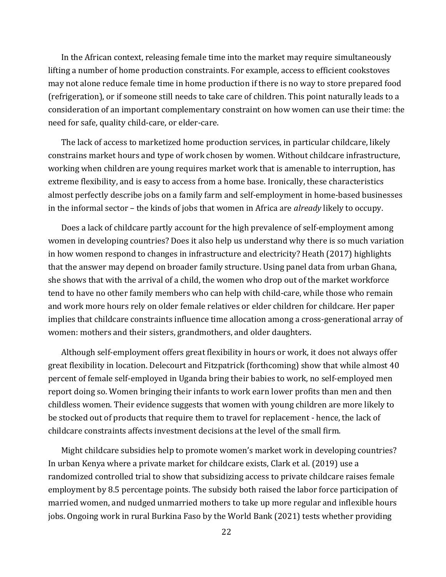In the African context, releasing female time into the market may require simultaneously lifting a number of home production constraints. For example, access to efficient cookstoves may not alone reduce female time in home production if there is no way to store prepared food (refrigeration), or if someone still needs to take care of children. This point naturally leads to a consideration of an important complementary constraint on how women can use their time: the need for safe, quality child-care, or elder-care.

The lack of access to marketized home production services, in particular childcare, likely constrains market hours and type of work chosen by women. Without childcare infrastructure, working when children are young requires market work that is amenable to interruption, has extreme flexibility, and is easy to access from a home base. Ironically, these characteristics almost perfectly describe jobs on a family farm and self-employment in home-based businesses in the informal sector – the kinds of jobs that women in Africa are *already* likely to occupy.

Does a lack of childcare partly account for the high prevalence of self-employment among women in developing countries? Does it also help us understand why there is so much variation in how women respond to changes in infrastructure and electricity? Heath (2017) highlights that the answer may depend on broader family structure. Using panel data from urban Ghana, she shows that with the arrival of a child, the women who drop out of the market workforce tend to have no other family members who can help with child-care, while those who remain and work more hours rely on older female relatives or elder children for childcare. Her paper implies that childcare constraints influence time allocation among a cross-generational array of women: mothers and their sisters, grandmothers, and older daughters.

Although self-employment offers great flexibility in hours or work, it does not always offer great flexibility in location. Delecourt and Fitzpatrick (forthcoming) show that while almost 40 percent of female self-employed in Uganda bring their babies to work, no self-employed men report doing so. Women bringing their infants to work earn lower profits than men and then childless women. Their evidence suggests that women with young children are more likely to be stocked out of products that require them to travel for replacement - hence, the lack of childcare constraints affects investment decisions at the level of the small firm.

Might childcare subsidies help to promote women's market work in developing countries? In urban Kenya where a private market for childcare exists, Clark et al. (2019) use a randomized controlled trial to show that subsidizing access to private childcare raises female employment by 8.5 percentage points. The subsidy both raised the labor force participation of married women, and nudged unmarried mothers to take up more regular and inflexible hours jobs. Ongoing work in rural Burkina Faso by the World Bank (2021) tests whether providing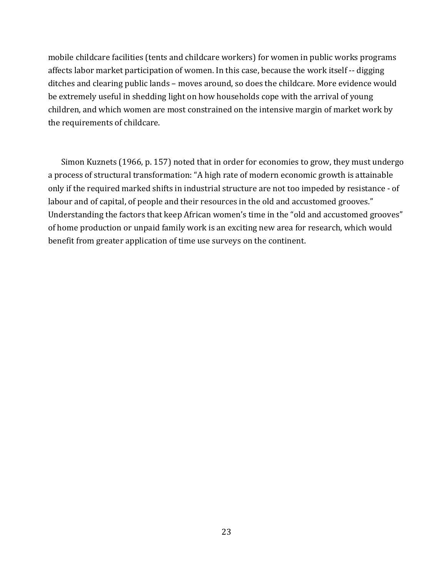mobile childcare facilities (tents and childcare workers) for women in public works programs affects labor market participation of women. In this case, because the work itself -- digging ditches and clearing public lands – moves around, so does the childcare. More evidence would be extremely useful in shedding light on how households cope with the arrival of young children, and which women are most constrained on the intensive margin of market work by the requirements of childcare.

Simon Kuznets (1966, p. 157) noted that in order for economies to grow, they must undergo a process of structural transformation: "A high rate of modern economic growth is attainable only if the required marked shifts in industrial structure are not too impeded by resistance - of labour and of capital, of people and their resources in the old and accustomed grooves." Understanding the factors that keep African women's time in the "old and accustomed grooves" of home production or unpaid family work is an exciting new area for research, which would benefit from greater application of time use surveys on the continent.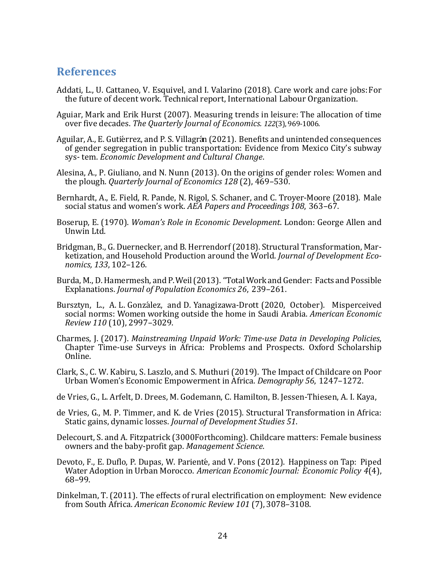#### **References**

- Addati, L., U. Cattaneo, V. Esquivel, and I. Valarino (2018). Care work and care jobs: For the future of decent work. Technical report, International Labour Organization.
- Aguiar, Mark and Erik Hurst (2007). Measuring trends in leisure: The allocation of time over five decades. *The Quarterly Journal of Economics. 122*(3), 969-1006.
- Aguilar, A., E. Gutiérrez, and P. S. Villagrán (2021). Benefits and unintended consequences of gender segregation in public transportation: Evidence from Mexico City's subway sys- tem. *Economic Development and Cultural Change*.
- Alesina, A., P. Giuliano, and N. Nunn (2013). On the origins of gender roles: Women and the plough. *Quarterly Journal of Economics 128* (2), 469–530.
- Bernhardt, A., E. Field, R. Pande, N. Rigol, S. Schaner, and C. Troyer-Moore (2018). Male social status and women's work. *AEA Papers and Proceedings 108*, 363–67.
- Boserup, E. (1970). *Woman's Role in Economic Development*. London: George Allen and Unwin Ltd.
- Bridgman, B., G. Duernecker, and B. Herrendorf (2018). Structural Transformation, Marketization, and Household Production around the World. *Journal of Development Economics, 133*, 102–126.
- Burda, M., D. Hamermesh, and P. Weil (2013). "Total Work and Gender: Facts and Possible Explanations. *Journal of Population Economics 26*, 239–261.
- Bursztyn, L., A. L. González, and D. Yanagizawa-Drott (2020, October). Misperceived social norms: Women working outside the home in Saudi Arabia. *American Economic Review 110* (10), 2997–3029.
- Charmes, J. (2017). *Mainstreaming Unpaid Work: Time‐use Data in Developing Policies*, Chapter Time-use Surveys in Africa: Problems and Prospects. Oxford Scholarship Online.
- Clark, S., C. W. Kabiru, S. Laszlo, and S. Muthuri (2019). The Impact of Childcare on Poor Urban Women's Economic Empowerment in Africa. *Demography 56*, 1247–1272.
- de Vries, G., L. Arfelt, D. Drees, M. Godemann, C. Hamilton, B. Jessen-Thiesen, A. I. Kaya,
- de Vries, G., M. P. Timmer, and K. de Vries (2015). Structural Transformation in Africa: Static gains, dynamic losses. *Journal of Development Studies 51*.
- Delecourt, S. and A. Fitzpatrick (3000Forthcoming). Childcare matters: Female business owners and the baby-profit gap. *Management Science*.
- Devoto, F., E. Duflo, P. Dupas, W. Parient´e, and V. Pons (2012). Happiness on Tap: Piped Water Adoption in Urban Morocco. *American Economic Journal: Economic Policy 4*(4), 68–99.
- Dinkelman, T. (2011). The effects of rural electrification on employment: New evidence from South Africa. *American Economic Review 101* (7), 3078–3108.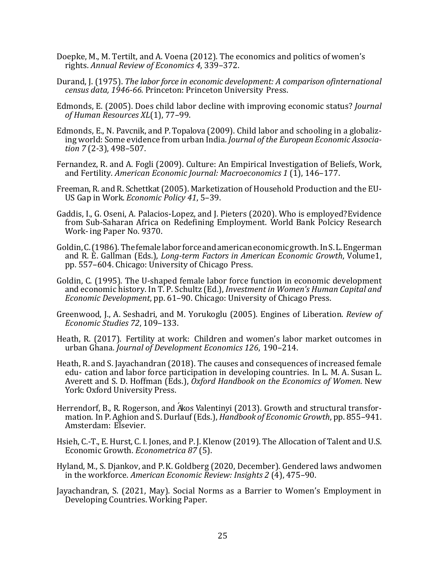- Doepke, M., M. Tertilt, and A. Voena (2012). The economics and politics of women's rights. *Annual Review of Economics 4*, 339–372.
- Durand, J. (1975). *The labor force in economic development: A comparison ofinternational census data, 1946‐66.* Princeton: Princeton University Press.
- Edmonds, E. (2005). Does child labor decline with improving economic status? *Journal of Human Resources XL*(1), 77–99.
- Edmonds, E., N. Pavcnik, and P. Topalova (2009). Child labor and schooling in a globalizing world: Some evidence from urban India. *Journal of the European Economic Associa tion 7* (2-3), 498–507.
- Fernandez, R. and A. Fogli (2009). Culture: An Empirical Investigation of Beliefs, Work, and Fertility. *American Economic Journal: Macroeconomics 1* (1), 146–177.
- Freeman, R. and R. Schettkat (2005). Marketization of Household Production and the EU-US Gap in Work. *Economic Policy 41*, 5–39.
- Gaddis, I., G. Oseni, A. Palacios-Lopez, and J. Pieters (2020). Who is employed? Evidence from Sub-Saharan Africa on Redefining Employment. World Bank Polcicy Research Work- ing Paper No. 9370.
- Goldin, C. (1986). The female labor force and american economic growth. In S. L. Engerman and R. E. Gallman (Eds.), *Long‐term Factors in American Economic Growth*, Volume 1, pp. 557–604. Chicago: University of Chicago Press.
- Goldin, C. (1995). The U-shaped female labor force function in economic development and economic history. In T. P. Schultz (Ed.), *Investment in Women's Human Capital and Economic Development*, pp. 61–90. Chicago: University of Chicago Press.
- Greenwood, J., A. Seshadri, and M. Yorukoglu (2005). Engines of Liberation. *Review of Economic Studies 72*, 109–133.
- Heath, R. (2017). Fertility at work: Children and women's labor market outcomes in urban Ghana. *Journal of Development Economics 126*, 190–214.
- Heath, R. and S. Jayachandran (2018). The causes and consequences of increased female edu- cation and labor force participation in developing countries. In L. M. A. Susan L. Averett and S. D. Hoffman (Eds.), *Oxford Handbook on the Economics of Women*. New York: Oxford University Press.
- Herrendorf, B., R. Rogerson, and Axos Valentinyi (2013). Growth and structural transformation. In P. Aghion and S. Durlauf (Eds.), *Handbook of Economic Growth*, pp. 855–941. Amsterdam: Elsevier.
- Hsieh, C.-T., E. Hurst, C. I. Jones, and P. J. Klenow (2019). The Allocation of Talent and U.S. Economic Growth. *Econometrica 87* (5).
- Hyland, M., S. Djankov, and P. K. Goldberg (2020, December). Gendered laws and women in the workforce. *American Economic Review: Insights 2* (4), 475–90.
- Jayachandran, S. (2021, May). Social Norms as a Barrier to Women's Employment in Developing Countries. Working Paper.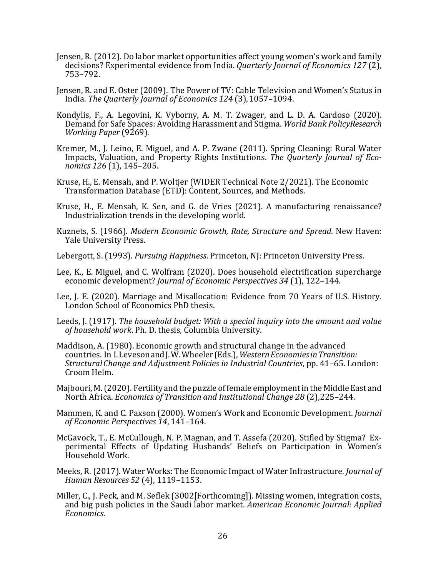- Jensen, R. (2012). Do labor market opportunities affect young women's work and family decisions? Experimental evidence from India. *Quarterly Journal of Economics 127* (2), 753–792.
- Jensen, R. and E. Oster (2009). The Power of TV: Cable Television and Women's Status in India. *The Quarterly Journal of Economics 124* (3), 1057–1094.
- Kondylis, F., A. Legovini, K. Vyborny, A. M. T. Zwager, and L. D. A. Cardoso (2020). Demand for Safe Spaces: Avoiding Harassment and Stigma. *World Bank PolicyResearch Working Paper* (9269).
- Kremer, M., J. Leino, E. Miguel, and A. P. Zwane (2011). Spring Cleaning: Rural Water Impacts, Valuation, and Property Rights Institutions. The Quarterly Journal of Eco*nomics 126* (1), 145–205.
- Kruse, H., E. Mensah, and P. Woltjer (WIDER Technical Note 2/2021). The Economic Transformation Database (ETD): Content, Sources, and Methods.
- Kruse, H., E. Mensah, K. Sen, and G. de Vries (2021). A manufacturing renaissance? Industrialization trends in the developing world.
- Kuznets, S. (1966). *Modern Economic Growth, Rate, Structure and Spread*. New Haven: Yale University Press.
- Lebergott, S. (1993). *Pursuing Happiness*. Princeton, NJ: Princeton University Press.
- Lee, K., E. Miguel, and C. Wolfram (2020). Does household electrification supercharge economic development? *Journal of Economic Perspectives 34* (1), 122–144.
- Lee, J. E. (2020). Marriage and Misallocation: Evidence from 70 Years of U.S. History. London School of Economics PhD thesis.
- Leeds, J. (1917). *The household budget: With a special inquiry into the amount and value of household work*. Ph. D. thesis, Columbia University.
- Maddison, A. (1980). Economic growth and structural change in the advanced countries. In I. Leveson and J. W. Wheeler (Eds.), *WesternEconomiesinTransition: StructuralChange and Adjustment Policies in Industrial Countries*, pp. 41–65. London: Croom Helm.
- Majbouri, M. (2020). Fertility and the puzzle of female employment in the Middle East and North Africa. *Economics of Transition and Institutional Change 28* (2), 225–244.
- Mammen, K. and C. Paxson (2000). Women's Work and Economic Development. *Journal of Economic Perspectives 14*, 141–164.
- McGavock, T., E. McCullough, N. P. Magnan, and T. Assefa (2020). Stifled by Stigma? Experimental Effects of Updating Husbands' Beliefs on Participation in Women's Household Work.
- Meeks, R. (2017). Water Works: The Economic Impact of Water Infrastructure. *Journal of Human Resources 52* (4), 1119–1153.
- Miller, C., J. Peck, and M. Seflek (3002[Forthcoming]). Missing women, integration costs, and big push policies in the Saudi labor market. *American Economic Journal: Applied Economics*.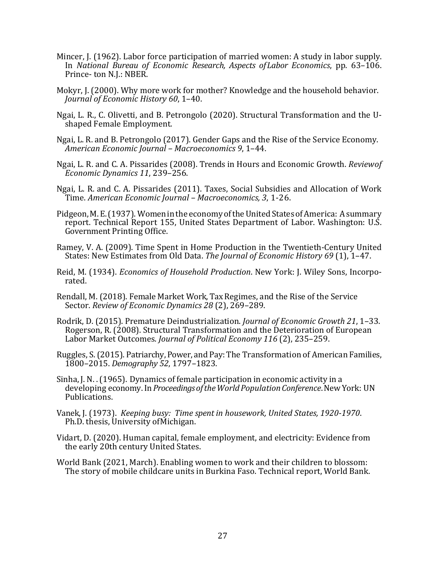- Mincer, J. (1962). Labor force participation of married women: A study in labor supply. In *National Bureau of Economic Research, Aspects ofLabor Economics*, pp. 63–106. Prince- ton N.J.: NBER.
- Mokyr, J. (2000). Why more work for mother? Knowledge and the household behavior. *Journal of Economic History 60*, 1–40.
- Ngai, L. R., C. Olivetti, and B. Petrongolo (2020). Structural Transformation and the Ushaped Female Employment.
- Ngai, L. R. and B. Petrongolo (2017). Gender Gaps and the Rise of the Service Economy. *American Economic Journal – Macroeconomics 9*, 1–44.
- Ngai, L. R. and C. A. Pissarides (2008). Trends in Hours and Economic Growth. *Reviewof Economic Dynamics 11*, 239–256.
- Ngai, L. R. and C. A. Pissarides (2011). Taxes, Social Subsidies and Allocation of Work Time. *American Economic Journal – Macroeconomics, 3*, 1-26.
- Pidgeon, M. E. (1937). Women in the economy of the United States of America: A summary report. Technical Report 155, United States Department of Labor. Washington: U.S. Government Printing Office.
- Ramey, V. A. (2009). Time Spent in Home Production in the Twentieth-Century United States: New Estimates from Old Data. *The Journal of Economic History 69* (1), 1–47.
- Reid, M. (1934). *Economics of Household Production*. New York: J. Wiley Sons, Incorporated.
- Rendall, M. (2018). Female Market Work, Tax Regimes, and the Rise of the Service Sector. *Review of Economic Dynamics 28* (2), 269–289.
- Rodrik, D. (2015). Premature Deindustrialization. *Journal of Economic Growth 21*, 1–33. Rogerson, R. (2008). Structural Transformation and the Deterioration of European Labor Market Outcomes. *Journal of Political Economy 116* (2), 235–259.
- Ruggles, S. (2015). Patriarchy, Power, and Pay: The Transformation of American Families, 1800–2015. *Demography 52*, 1797–1823.
- Sinha, J. N. . (1965). Dynamics of female participation in economic activity in a developing economy. In *ProceedingsoftheWorldPopulationConference*. New York: UN Publications.
- Vanek, J. (1973). *Keeping busy: Time spent in housework, United States, 1920‐1970*. Ph.D. thesis, University of Michigan.
- Vidart, D. (2020). Human capital, female employment, and electricity: Evidence from the early 20th century United States.
- World Bank (2021, March). Enabling women to work and their children to blossom: The story of mobile childcare units in Burkina Faso. Technical report, World Bank.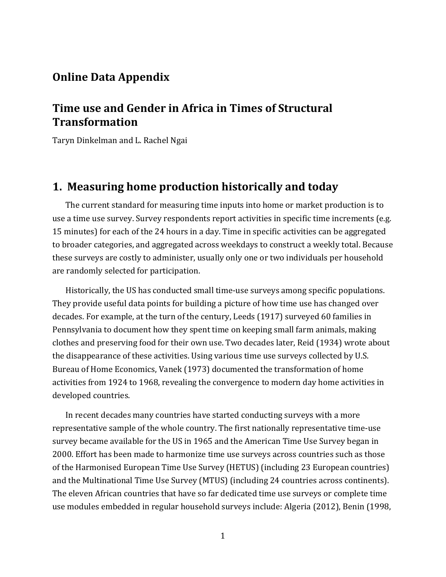## **Online Data Appendix**

## **Time use and Gender in Africa in Times of Structural Transformation**

Taryn Dinkelman and L. Rachel Ngai

### **1. Measuring home production historically and today**

The current standard for measuring time inputs into home or market production is to use a time use survey. Survey respondents report activities in specific time increments (e.g. 15 minutes) for each of the 24 hours in a day. Time in specific activities can be aggregated to broader categories, and aggregated across weekdays to construct a weekly total. Because these surveys are costly to administer, usually only one or two individuals per household are randomly selected for participation.

Historically, the US has conducted small time-use surveys among specific populations. They provide useful data points for building a picture of how time use has changed over decades. For example, at the turn of the century, Leeds (1917) surveyed 60 families in Pennsylvania to document how they spent time on keeping small farm animals, making clothes and preserving food for their own use. Two decades later, Reid (1934) wrote about the disappearance of these activities. Using various time use surveys collected by U.S. Bureau of Home Economics, Vanek (1973) documented the transformation of home activities from 1924 to 1968, revealing the convergence to modern day home activities in developed countries.

In recent decades many countries have started conducting surveys with a more representative sample of the whole country. The first nationally representative time-use survey became available for the US in 1965 and the American Time Use Survey began in 2000. Effort has been made to harmonize time use surveys across countries such as those of the Harmonised European Time Use Survey (HETUS) (including 23 European countries) and the Multinational Time Use Survey (MTUS) (including 24 countries across continents). The eleven African countries that have so far dedicated time use surveys or complete time use modules embedded in regular household surveys include: Algeria (2012), Benin (1998,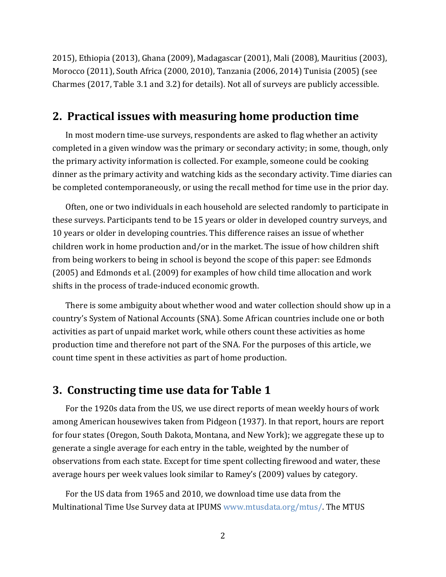2015), Ethiopia (2013), Ghana (2009), Madagascar (2001), Mali (2008), Mauritius (2003), Morocco (2011), South Africa (2000, 2010), Tanzania (2006, 2014) Tunisia (2005) (see Charmes (2017, Table 3.1 and 3.2) for details). Not all of surveys are publicly accessible.

### **2. Practical issues with measuring home production time**

In most modern time-use surveys, respondents are asked to flag whether an activity completed in a given window was the primary or secondary activity; in some, though, only the primary activity information is collected. For example, someone could be cooking dinner as the primary activity and watching kids as the secondary activity. Time diaries can be completed contemporaneously, or using the recall method for time use in the prior day.

Often, one or two individuals in each household are selected randomly to participate in these surveys. Participants tend to be 15 years or older in developed country surveys, and 10 years or older in developing countries. This difference raises an issue of whether children work in home production and/or in the market. The issue of how children shift from being workers to being in school is beyond the scope of this paper: see Edmonds (2005) and Edmonds et al. (2009) for examples of how child time allocation and work shifts in the process of trade-induced economic growth.

There is some ambiguity about whether wood and water collection should show up in a country's System of National Accounts (SNA). Some African countries include one or both activities as part of unpaid market work, while others count these activities as home production time and therefore not part of the SNA. For the purposes of this article, we count time spent in these activities as part of home production.

#### **3. Constructing time use data for Table 1**

For the 1920s data from the US, we use direct reports of mean weekly hours of work among American housewives taken from Pidgeon (1937). In that report, hours are report for four states (Oregon, South Dakota, Montana, and New York); we aggregate these up to generate a single average for each entry in the table, weighted by the number of observations from each state. Except for time spent collecting firewood and water, these average hours per week values look similar to Ramey's (2009) values by category.

For the US data from 1965 and 2010, we download time use data from the Multinational Time Use Survey data at IPUMS www.mtusdata.org/mtus/. The MTUS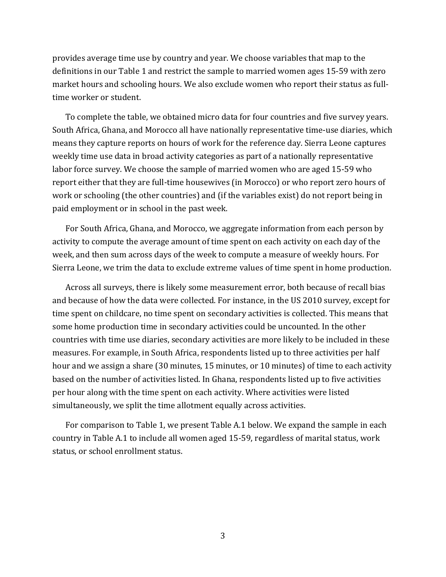provides average time use by country and year. We choose variables that map to the definitions in our Table 1 and restrict the sample to married women ages 15-59 with zero market hours and schooling hours. We also exclude women who report their status as fulltime worker or student.

To complete the table, we obtained micro data for four countries and five survey years. South Africa, Ghana, and Morocco all have nationally representative time-use diaries, which means they capture reports on hours of work for the reference day. Sierra Leone captures weekly time use data in broad activity categories as part of a nationally representative labor force survey. We choose the sample of married women who are aged 15-59 who report either that they are full-time housewives (in Morocco) or who report zero hours of work or schooling (the other countries) and (if the variables exist) do not report being in paid employment or in school in the past week.

For South Africa, Ghana, and Morocco, we aggregate information from each person by activity to compute the average amount of time spent on each activity on each day of the week, and then sum across days of the week to compute a measure of weekly hours. For Sierra Leone, we trim the data to exclude extreme values of time spent in home production.

Across all surveys, there is likely some measurement error, both because of recall bias and because of how the data were collected. For instance, in the US 2010 survey, except for time spent on childcare, no time spent on secondary activities is collected. This means that some home production time in secondary activities could be uncounted. In the other countries with time use diaries, secondary activities are more likely to be included in these measures. For example, in South Africa, respondents listed up to three activities per half hour and we assign a share (30 minutes, 15 minutes, or 10 minutes) of time to each activity based on the number of activities listed. In Ghana, respondents listed up to five activities per hour along with the time spent on each activity. Where activities were listed simultaneously, we split the time allotment equally across activities.

For comparison to Table 1, we present Table A.1 below. We expand the sample in each country in Table A.1 to include all women aged 15-59, regardless of marital status, work status, or school enrollment status.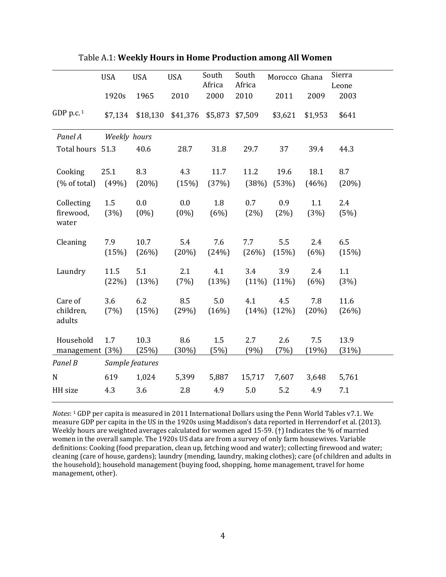|                                  | <b>USA</b>      | <b>USA</b>     | <b>USA</b>     | South<br>Africa | South<br>Africa | Morocco Ghana   |              | Sierra<br>Leone |
|----------------------------------|-----------------|----------------|----------------|-----------------|-----------------|-----------------|--------------|-----------------|
|                                  | 1920s           | 1965           | 2010           | 2000            | 2010            | 2011            | 2009         | 2003            |
| GDP p.c. $1$                     | \$7,134         | \$18,130       | \$41,376       | \$5,873         | \$7,509         | \$3,621         | \$1,953      | \$641           |
| Panel A                          | Weekly hours    |                |                |                 |                 |                 |              |                 |
| Total hours 51.3                 |                 | 40.6           | 28.7           | 31.8            | 29.7            | 37              | 39.4         | 44.3            |
| Cooking                          | 25.1            | 8.3            | 4.3            | 11.7            | 11.2            | 19.6            | 18.1         | 8.7             |
| (% of total)                     | (49%)           | (20%)          | (15%)          | (37%)           | (38%)           | (53%)           | (46%)        | (20%)           |
| Collecting<br>firewood,<br>water | 1.5<br>(3%)     | 0.0<br>$(0\%)$ | 0.0<br>$(0\%)$ | 1.8<br>(6%)     | 0.7<br>(2%)     | 0.9<br>(2%)     | 1.1<br>(3%)  | 2.4<br>(5%)     |
| Cleaning                         | 7.9<br>(15%)    | 10.7<br>(26%)  | 5.4<br>(20%)   | 7.6<br>(24%)    | 7.7<br>(26%)    | 5.5<br>(15%)    | 2.4<br>(6%)  | 6.5<br>(15%)    |
| Laundry                          | 11.5<br>(22%)   | 5.1<br>(13%)   | 2.1<br>(7%)    | 4.1<br>(13%)    | 3.4<br>$(11\%)$ | 3.9<br>$(11\%)$ | 2.4<br>(6%)  | 1.1<br>(3%)     |
| Care of<br>children,<br>adults   | 3.6<br>(7%)     | 6.2<br>(15%)   | 8.5<br>(29%)   | 5.0<br>(16%)    | 4.1<br>(14%)    | 4.5<br>(12%)    | 7.8<br>(20%) | 11.6<br>(26%)   |
| Household<br>management (3%)     | 1.7             | 10.3<br>(25%)  | 8.6<br>(30%)   | 1.5<br>(5%)     | 2.7<br>(9%)     | 2.6<br>(7%)     | 7.5<br>(19%) | 13.9<br>(31%)   |
| Panel B                          | Sample features |                |                |                 |                 |                 |              |                 |
| ${\bf N}$                        | 619             | 1,024          | 5,399          | 5,887           | 15,717          | 7,607           | 3,648        | 5,761           |
| HH size                          | 4.3             | 3.6            | 2.8            | 4.9             | 5.0             | 5.2             | 4.9          | 7.1             |

| <b>Table A.1: Weekly Hours in Home Production among All Women</b> |  |  |  |  |
|-------------------------------------------------------------------|--|--|--|--|
|-------------------------------------------------------------------|--|--|--|--|

*Notes*: 1 GDP per capita is measured in 2011 International Dollars using the Penn World Tables v7.1. We measure GDP per capita in the US in the 1920s using Maddison's data reported in Herrendorf et al. (2013). Weekly hours are weighted averages calculated for women aged 15-59. (†) Indicates the % of married women in the overall sample. The 1920s US data are from a survey of only farm housewives. Variable definitions: Cooking (food preparation, clean up, fetching wood and water); collecting firewood and water; cleaning (care of house, gardens); laundry (mending, laundry, making clothes); care (of children and adults in the household); household management (buying food, shopping, home management, travel for home management, other).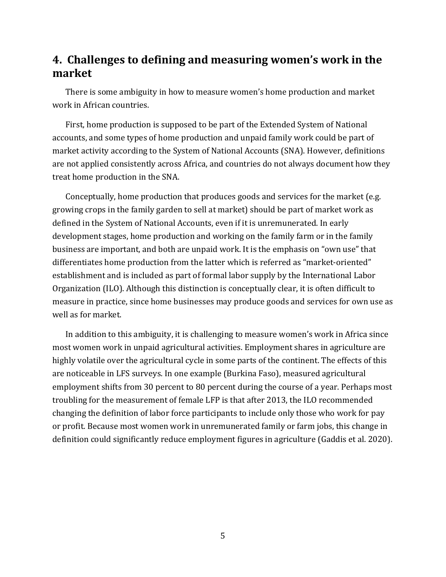# **4. Challenges to defining and measuring women's work in the market**

There is some ambiguity in how to measure women's home production and market work in African countries.

First, home production is supposed to be part of the Extended System of National accounts, and some types of home production and unpaid family work could be part of market activity according to the System of National Accounts (SNA). However, definitions are not applied consistently across Africa, and countries do not always document how they treat home production in the SNA.

Conceptually, home production that produces goods and services for the market (e.g. growing crops in the family garden to sell at market) should be part of market work as defined in the System of National Accounts, even if it is unremunerated. In early development stages, home production and working on the family farm or in the family business are important, and both are unpaid work. It is the emphasis on "own use" that differentiates home production from the latter which is referred as "market-oriented" establishment and is included as part of formal labor supply by the International Labor Organization (ILO). Although this distinction is conceptually clear, it is often difficult to measure in practice, since home businesses may produce goods and services for own use as well as for market.

In addition to this ambiguity, it is challenging to measure women's work in Africa since most women work in unpaid agricultural activities. Employment shares in agriculture are highly volatile over the agricultural cycle in some parts of the continent. The effects of this are noticeable in LFS surveys. In one example (Burkina Faso), measured agricultural employment shifts from 30 percent to 80 percent during the course of a year. Perhaps most troubling for the measurement of female LFP is that after 2013, the ILO recommended changing the definition of labor force participants to include only those who work for pay or profit. Because most women work in unremunerated family or farm jobs, this change in definition could significantly reduce employment figures in agriculture (Gaddis et al. 2020).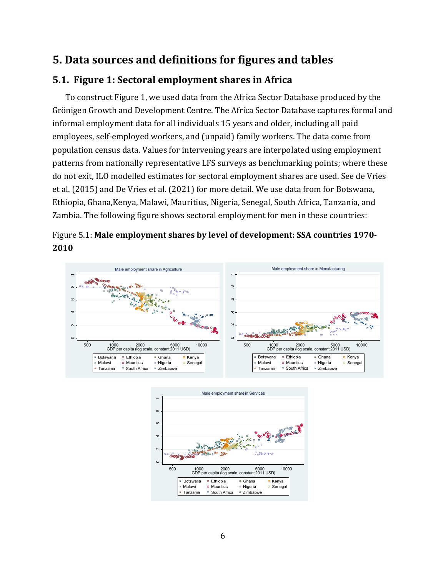# **5. Data sources and definitions for figures and tables**

## **5.1. Figure 1: Sectoral employment shares in Africa**

To construct Figure 1, we used data from the Africa Sector Database produced by the Grönigen Growth and Development Centre. The Africa Sector Database captures formal and informal employment data for all individuals 15 years and older, including all paid employees, self-employed workers, and (unpaid) family workers. The data come from population census data. Values for intervening years are interpolated using employment patterns from nationally representative LFS surveys as benchmarking points; where these do not exit, ILO modelled estimates for sectoral employment shares are used. See de Vries et al. (2015) and De Vries et al. (2021) for more detail. We use data from for Botswana, Ethiopia, Ghana,Kenya, Malawi, Mauritius, Nigeria, Senegal, South Africa, Tanzania, and Zambia. The following figure shows sectoral employment for men in these countries:





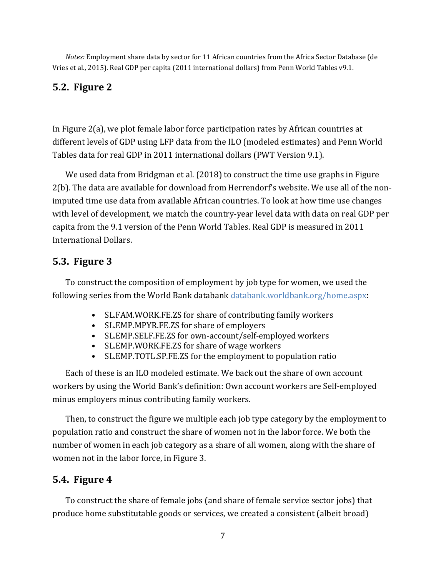*Notes:* Employment share data by sector for 11 African countries from the Africa Sector Database (de Vries et al., 2015). Real GDP per capita (2011 international dollars) from Penn World Tables v9.1.

### **5.2. Figure 2**

In Figure 2(a), we plot female labor force participation rates by African countries at different levels of GDP using LFP data from the ILO (modeled estimates) and Penn World Tables data for real GDP in 2011 international dollars (PWT Version 9.1).

We used data from Bridgman et al. (2018) to construct the time use graphs in Figure 2(b). The data are available for download from Herrendorf's website. We use all of the nonimputed time use data from available African countries. To look at how time use changes with level of development, we match the country-year level data with data on real GDP per capita from the 9.1 version of the Penn World Tables. Real GDP is measured in 2011 International Dollars.

#### **5.3. Figure 3**

To construct the composition of employment by job type for women, we used the following series from the World Bank databank databank.worldbank.org/home.aspx:

- SL.FAM.WORK.FE.ZS for share of contributing family workers
- SL.EMP.MPYR.FE.ZS for share of employers
- SL.EMP.SELF.FE.ZS for own-account/self-employed workers
- SL.EMP.WORK.FE.ZS for share of wage workers
- SL.EMP.TOTL.SP.FE.ZS for the employment to population ratio

Each of these is an ILO modeled estimate. We back out the share of own account workers by using the World Bank's definition: Own account workers are Self-employed minus employers minus contributing family workers.

Then, to construct the figure we multiple each job type category by the employment to population ratio and construct the share of women not in the labor force. We both the number of women in each job category as a share of all women, along with the share of women not in the labor force, in Figure 3.

## **5.4. Figure 4**

To construct the share of female jobs (and share of female service sector jobs) that produce home substitutable goods or services, we created a consistent (albeit broad)